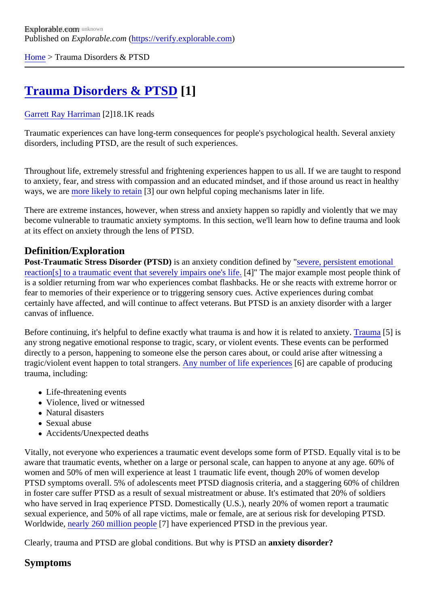[Home](https://verify.explorable.com/) > Trauma Disorders & PTSD

# [Trauma Disorders & PTSD](https://verify.explorable.com/e/traumatic-stress-related-disorders) [1]

#### [Garrett Ray Harrima](https://verify.explorable.com/users/grharriman)<sup>[2]</sup>18.1K reads

Traumatic experiences can have long-term consequences for people's psychological health. Several anxiety disorders, including PTSD, are the result of such experiences.

Throughout life, extremely stressful and frightening experiences happen to us all. If we are taught to respond to anxiety, fear, and stress with compassion and an educated mindset, and if those around us react in health ways, we arenore likely to retain<sup>[3]</sup> our own helpful coping mechanisms later in life.

There are extreme instances, however, when stress and anxiety happen so rapidly and violently that we may become vulnerable to traumatic anxiety symptoms. In this section, we'll learn how to define trauma and look at its effect on anxiety through the lens of PTSD.

### Definition/Exploration

Post-Traumatic Stress Disorder (PTSD)s an anxiety condition defined by evere, persistent emotional [reaction\[s\] to a traumatic event that severely impairs one](http://www.nytimes.com/health/guides/disease/generalized-anxiety-disorder/print.html)'\$4] feThe major example most people think of is a soldier returning from war who experiences combat flashbacks. He or she reacts with extreme horror or fear to memories of their experience or to triggering sensory cues. Active experiences during combat certainly have affected, and will continue to affect veterans. But PTSD is an anxiety disorder with a larger canvas of influence.

Before continuing, it's helpful to define exactly what trauma is and how it is related to anxiety also is any strong negative emotional response to tragic, scary, or violent events. These events can be performed directly to a person, happening to someone else the person cares about, or could arise after witnessing a tragic/violent event happen to total strangers, number of life experience6] are capable of producing trauma, including:

- Life-threatening events
- Violence, lived or witnessed
- Natural disasters
- Sexual abuse
- Accidents/Unexpected deaths

Vitally, not everyone who experiences a traumatic event develops some form of PTSD. Equally vital is to be aware that traumatic events, whether on a large or personal scale, can happen to anyone at any age. 60% women and 50% of men will experience at least 1 traumatic life event, though 20% of women develop PTSD symptoms overall. 5% of adolescents meet PTSD diagnosis criteria, and a staggering 60% of childr in foster care suffer PTSD as a result of sexual mistreatment or abuse. It's estimated that 20% of soldiers who have served in Iraq experience PTSD. Domestically (U.S.), nearly 20% of women report a traumatic sexual experience, and 50% of all rape victims, male or female, are at serious risk for developing PTSD. Worldwide, [nearly 260 million peopl](http://www.psyweb.com/blogs/s/ptsd-statistics-military-domestic-abuse-children-and-the-world)e<sup>7</sup> have experienced PTSD in the previous year.

Clearly, trauma and PTSD are global conditions. But why is PTSD analy disorder?

## Symptoms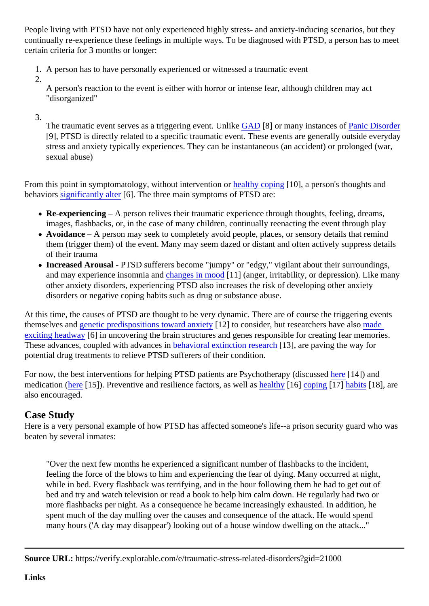People living with PTSD have not only experienced highly stress- and anxiety-inducing scenarios, but they continually re-experience these feelings in multiple ways. To be diagnosed with PTSD, a person has to me certain criteria for 3 months or longer:

- 1. A person has to have personally experienced or witnessed a traumatic event
- 2.

A person's reaction to the event is either with horror or intense fear, although children may act "disorganized"

3.

The traumatic event serves as a triggering event. Unlike [8] or many instances of anic Disorder [9], PTSD is directly related to a specific traumatic event. These events are generally outside everyd stress and anxiety typically experiences. They can be instantaneous (an accident) or prolonged (war sexual abuse)

From this point in symptomatology, without interventior healthy coping [10], a person's thoughts and behavior[s significantly alte](http://www.nimh.nih.gov/health/topics/post-traumatic-stress-disorder-ptsd/index.shtml)r[6]. The three main symptoms of PTSD are:

- Re-experiencing A person relives their traumatic experience through thoughts, feeling, dreams, images, flashbacks, or, in the case of many children, continually reenacting the event through play
- Avoidance A person may seek to completely avoid people, places, or sensory details that remind them (trigger them) of the event. Many may seem dazed or distant and often actively suppress detai of their trauma
- Increased Arousal- PTSD sufferers become "jumpy" or "edgy," vigilant about their surroundings, and may experience insomnia and anges in moord 1] (anger, irritability, or depression). Like many other anxiety disorders, experiencing PTSD also increases the risk of developing other anxiety disorders or negative coping habits such as drug or substance abuse.

At this time, the causes of PTSD are thought to be very dynamic. There are of course the triggering events themselves and enetic predispositions toward anxiet [2] to consider, but researchers have also le [exciting headwa](http://www.nimh.nih.gov/health/topics/post-traumatic-stress-disorder-ptsd/index.shtml) $[6]$  in uncovering the brain structures and genes responsible for creating fear memories. These advances, coupled with advancer in behavioral extinction research 3], are paving the way for potential drug treatments to relieve PTSD sufferers of their condition.

For now, the best interventions for helping PTSD patients are Psychotherapy (di[scus](https://explorable.com/psychotherapy)sed) and medication [\(here](https://explorable.com/medication)<sup>[15]</sup>). Preventive and resilience factors, as well esthy<sup>[16]</sup> [coping](https://explorable.com/anxiety-tips-cognitive-social-strategies)<sup>[17]</sup> [habits](https://explorable.com/mindfulness-breathing-exercise)[18], are also encouraged.

## Case Study

Here is a very personal example of how PTSD has affected someone's life--a prison security guard who w beaten by several inmates:

"Over the next few months he experienced a significant number of flashbacks to the incident, feeling the force of the blows to him and experiencing the fear of dying. Many occurred at night, while in bed. Every flashback was terrifying, and in the hour following them he had to get out of bed and try and watch television or read a book to help him calm down. He regularly had two or more flashbacks per night. As a consequence he became increasingly exhausted. In addition, he spent much of the day mulling over the causes and consequence of the attack. He would spend many hours ('A day may disappear') looking out of a house window dwelling on the attack..."

Source URL: https://verify.explorable.com/e/traumatic-stress-related-disorders?gid=21000